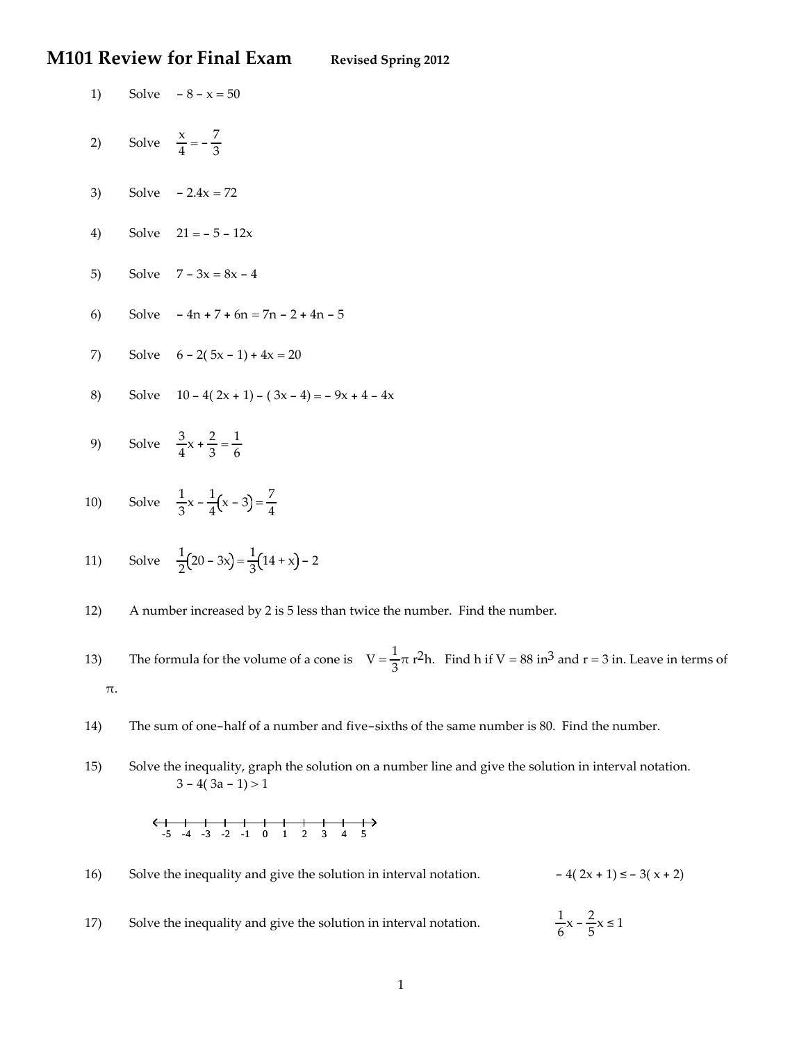### **M101 Review for Final Exam Revised Spring <sup>2012</sup>**

- 1) Solve 8 x = 50
- 2) Solve  $\frac{x}{4} = -\frac{7}{3}$
- 3) Solve  $-2.4x = 72$
- 4) Solve  $21 = -5 12x$
- 5) Solve  $7 3x = 8x 4$
- 6) Solve 4n + 7 + 6n = 7n 2 + 4n 5
- 7) Solve  $6 2(5x 1) + 4x = 20$
- 8) Solve  $10 4(2x + 1) (3x 4) = -9x + 4 4x$
- 9) Solve  $\frac{3}{4}x + \frac{2}{3} = \frac{1}{6}$
- 10) Solve  $\frac{1}{3}x \frac{1}{4}(x 3) = \frac{7}{4}$
- 11) Solve  $\frac{1}{2}(20 3x) = \frac{1}{3}(14 + x) 2$
- 12) A number increased by 2 is 5 less than twice the number. Find the number.
- 13) The formula for the volume of a cone is  $V = \frac{1}{3}\pi r^2 h$ . Find h if  $V = 88$  in<sup>3</sup> and  $r = 3$  in. Leave in terms of π.
- 14) The sum of one-half of a number and five-sixths of the same number is 80. Find the number.
- 15) Solve the inequality, graph the solution on a number line and give the solution in interval notation.  $3 - 4(3a - 1) > 1$



| 16)       | Solve the inequality and give the solution in interval notation. | $-4(2x + 1) \le -3(x + 2)$          |  |
|-----------|------------------------------------------------------------------|-------------------------------------|--|
| <b>17</b> | Solve the inequality and give the solution in interval notation. | $\frac{1}{6}x - \frac{2}{5}x \le 1$ |  |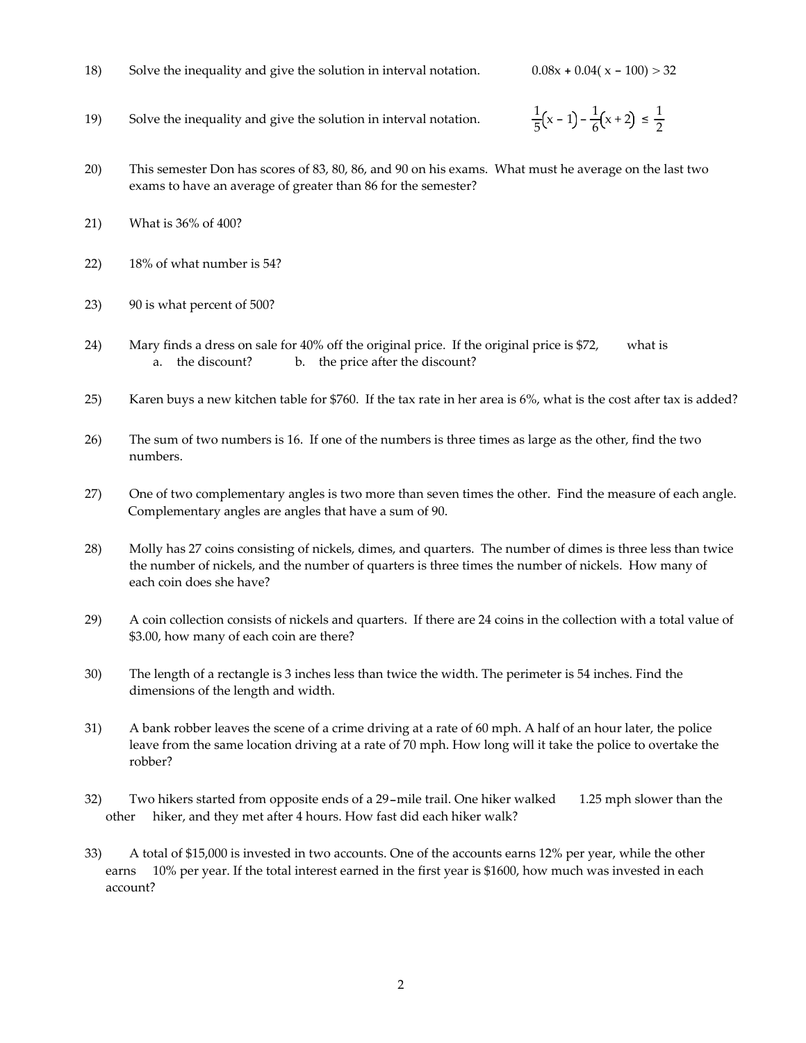18) Solve the inequality and give the solution in interval notation.  $0.08x + 0.04(x - 100) > 32$ 

- 19) Solve the inequality and give the solution in interval notation.
- $\frac{1}{5}(x-1)-\frac{1}{6}(x+2) \leq \frac{1}{2}$ 2
- 20) This semester Don has scores of 83, 80, 86, and 90 on his exams. What must he average on the last two exams to have an average of greater than 86 for the semester?
- 21) What is 36% of 400?
- 22) 18% of what number is 54?
- 23) 90 is what percent of 500?
- 24) Mary finds a dress on sale for 40% off the original price. If the original price is \$72, what is a. the discount? b. the price after the discount?
- 25) Karen buys a new kitchen table for \$760. If the tax rate in her area is 6%, what is the cost after tax is added?
- 26) The sum of two numbers is 16. If one of the numbers is three times as large as the other, find the two numbers.
- 27) One of two complementary angles is two more than seven times the other. Find the measure of each angle. Complementary angles are angles that have a sum of 90.
- 28) Molly has 27 coins consisting of nickels, dimes, and quarters. The number of dimes is three less than twice the number of nickels, and the number of quarters is three times the number of nickels. How many of each coin does she have?
- 29) A coin collection consists of nickels and quarters. If there are 24 coins in the collection with a total value of \$3.00, how many of each coin are there?
- 30) The length of a rectangle is 3 inches less than twice the width. The perimeter is 54 inches. Find the dimensions of the length and width.
- 31) A bank robber leaves the scene of a crime driving at a rate of 60 mph. A half of an hour later, the police leave from the same location driving at a rate of 70 mph. How long will it take the police to overtake the robber?
- 32) Two hikers started from opposite ends of a 29-mile trail. One hiker walked 1.25 mph slower than the other hiker, and they met after 4 hours. How fast did each hiker walk?
- 33) A total of \$15,000 is invested in two accounts. One of the accounts earns 12% per year, while the other earns 10% per year. If the total interest earned in the first year is \$1600, how much was invested in each account?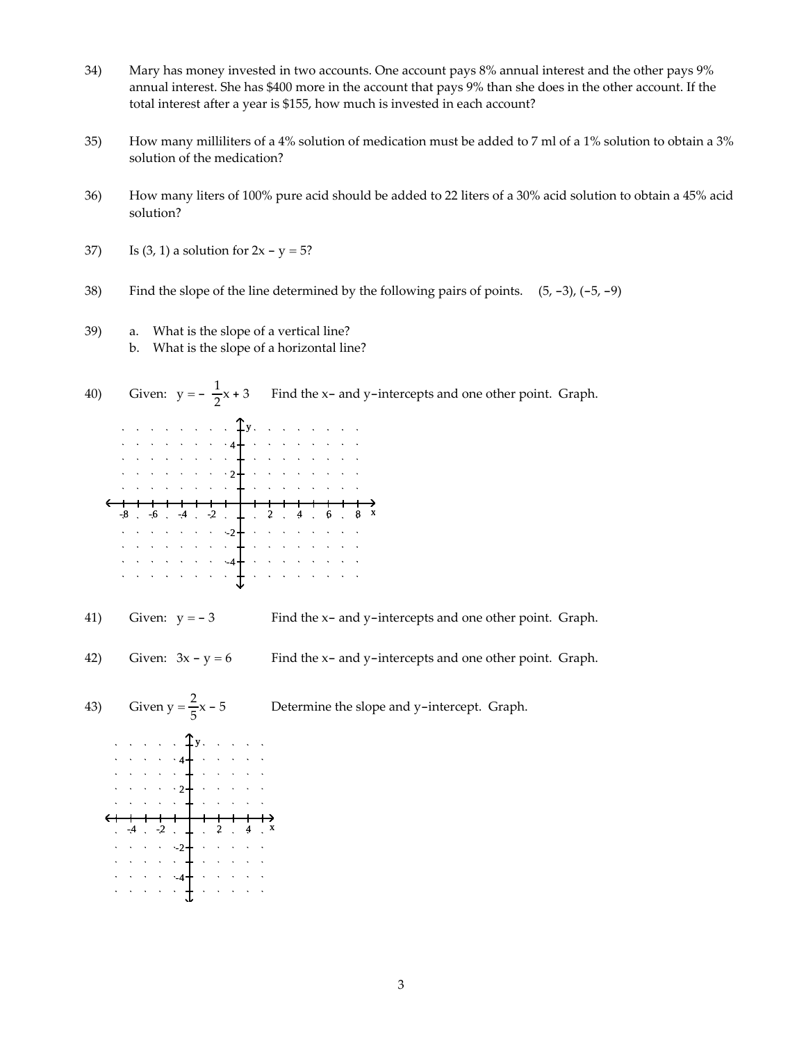- 34) Mary has money invested in two accounts. One account pays 8% annual interest and the other pays 9% annual interest. She has \$400 more in the account that pays 9% than she does in the other account. If the total interest after a year is \$155, how much is invested in each account?
- 35) How many milliliters of a 4% solution of medication must be added to 7 ml of a 1% solution to obtain a 3% solution of the medication?
- 36) How many liters of 100% pure acid should be added to 22 liters of a 30% acid solution to obtain a 45% acid solution?
- 37) Is  $(3, 1)$  a solution for  $2x y = 5$ ?
- 38) Find the slope of the line determined by the following pairs of points.  $(5, -3)$ ,  $(-5, -9)$
- 39) a. What is the slope of a vertical line?
	- b. What is the slope of a horizontal line?
- 40) Given:  $y = -\frac{1}{2}$ Find the x- and y-intercepts and one other point. Graph. y 4  $\cdot$  2+  $-6$   $-4$   $-2$   $-4$   $-2$   $-4$   $-3$   $-4$   $-6$   $-4$  $\cdots$   $2 + 2$  $\mathcal{A}=\mathcal{A}=\mathcal{A}=\mathcal{A}$  .  $\Delta \sim 10^{-1}$  $\bar{\lambda}$  $\begin{picture}(180,10) \put(0,0){\vector(1,0){10}} \put(10,0){\vector(1,0){10}} \put(10,0){\vector(1,0){10}} \put(10,0){\vector(1,0){10}} \put(10,0){\vector(1,0){10}} \put(10,0){\vector(1,0){10}} \put(10,0){\vector(1,0){10}} \put(10,0){\vector(1,0){10}} \put(10,0){\vector(1,0){10}} \put(10,0){\vector(1,0){10}} \put(10,0){\vector(1,0){10}} \put(10,0){\vector($
- 41) Given:  $y = -3$  Find the x- and y-intercepts and one other point. Graph.
- 42) Given:  $3x y = 6$  Find the x- and y-intercepts and one other point. Graph.



3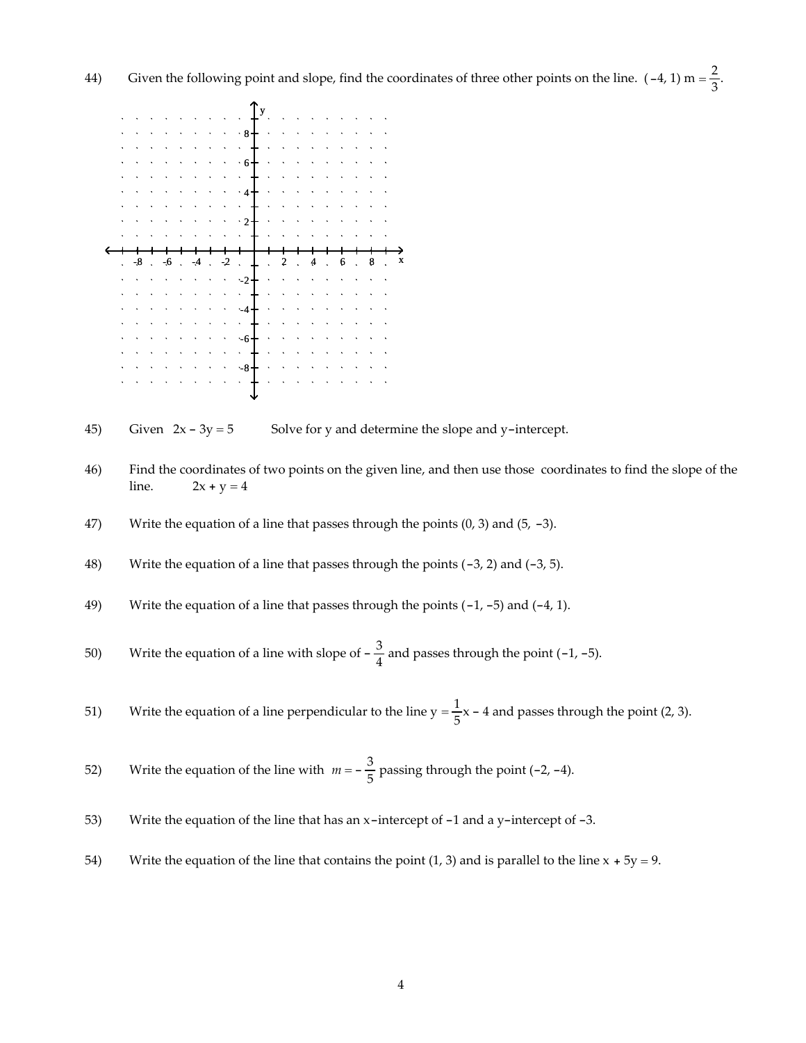

45) Given  $2x - 3y = 5$  Solve for y and determine the slope and y-intercept.

- 46) Find the coordinates of two points on the given line, and then use those coordinates to find the slope of the line.  $2x + y = 4$
- 47) Write the equation of a line that passes through the points  $(0, 3)$  and  $(5, -3)$ .
- 48) Write the equation of a line that passes through the points (-3, 2) and (-3, 5).
- 49) Write the equation of a line that passes through the points (-1, -5) and (-4, 1).

50) Write the equation of a line with slope of  $-\frac{3}{4}$  and passes through the point (-1, -5).

51) Write the equation of a line perpendicular to the line  $y = \frac{1}{5}x - 4$  and passes through the point (2, 3).

52) Write the equation of the line with 
$$
m = -\frac{3}{5}
$$
 passing through the point (-2, -4).

- 53) Write the equation of the line that has an x-intercept of -1 and a y-intercept of -3.
- 54) Write the equation of the line that contains the point (1, 3) and is parallel to the line  $x + 5y = 9$ .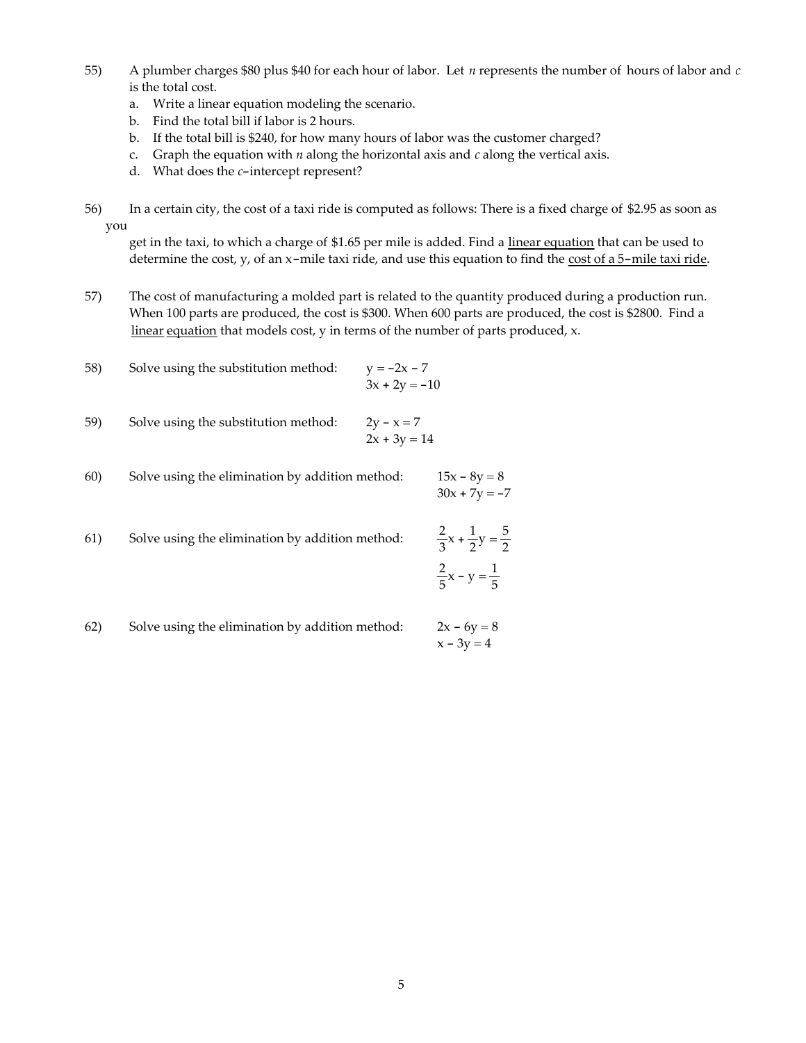- 55) A plumber charges \$80 plus \$40 for each hour of labor. Let *n* represents the number of hours of labor and *c* is the total cost.
	- a. Write a linear equation modeling the scenario.
	- b. Find the total bill if labor is 2 hours.
	- b. If the total bill is \$240, for how many hours of labor was the customer charged?
	- c. Graph the equation with *n* along the horizontal axis and *c* along the vertical axis.
	- d. What does the *c*-intercept represent?
- 56) In a certain city, the cost of a taxi ride is computed as follows: There is a fixed charge of \$2.95 as soon as you

get in the taxi, to which a charge of \$1.65 per mile is added. Find a linear equation that can be used to determine the cost, y, of an x-mile taxi ride, and use this equation to find the cost of a 5-mile taxi ride.

57) The cost of manufacturing a molded part is related to the quantity produced during a production run. When 100 parts are produced, the cost is \$300. When 600 parts are produced, the cost is \$2800. Find a linear equation that models cost, y in terms of the number of parts produced, x.

58) Solve using the substitution method:

\n
$$
y = -2x - 7
$$
\n
$$
3x + 2y = -10
$$
\n59) Solve using the substitution method:

\n
$$
2y - x = 7
$$
\n
$$
2x + 3y = 14
$$
\n60) Solve using the elimination by addition method:

\n
$$
15x - 8y = 8
$$
\n
$$
30x + 7y = -7
$$

61) Solve using the elimination by addition method: <sup>2</sup>  $\frac{2}{3}x + \frac{1}{2}y = \frac{5}{2}$ 2  $\frac{2}{5}x - y = \frac{1}{5}$ 

62) Solve using the elimination by addition method:  $2x - 6y = 8$  $x - 3y = 4$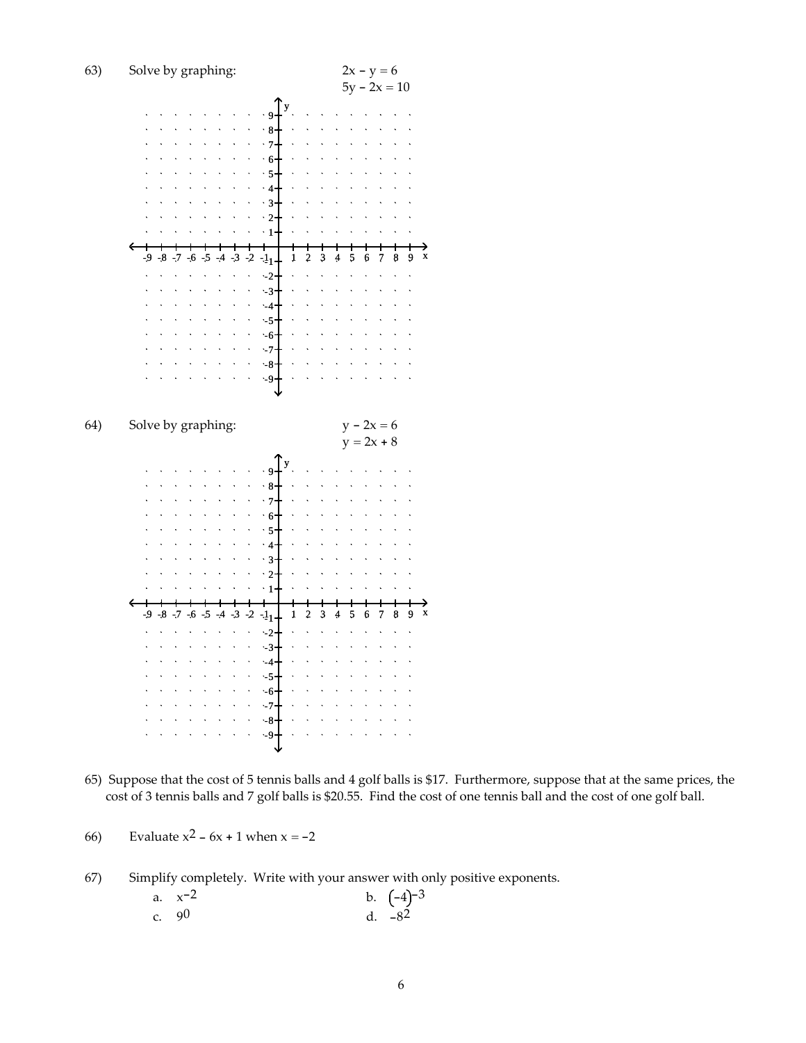

- 65) Suppose that the cost of 5 tennis balls and 4 golf balls is \$17. Furthermore, suppose that at the same prices, the cost of 3 tennis balls and 7 golf balls is \$20.55. Find the cost of one tennis ball and the cost of one golf ball.
- 66) Evaluate  $x^2 6x + 1$  when  $x = -2$

67) Simplify completely. Write with your answer with only positive exponents.

|         | a. $x^{-2}$ | b. $(-4)^{-3}$ |
|---------|-------------|----------------|
| c. $90$ |             | d. $-8^2$      |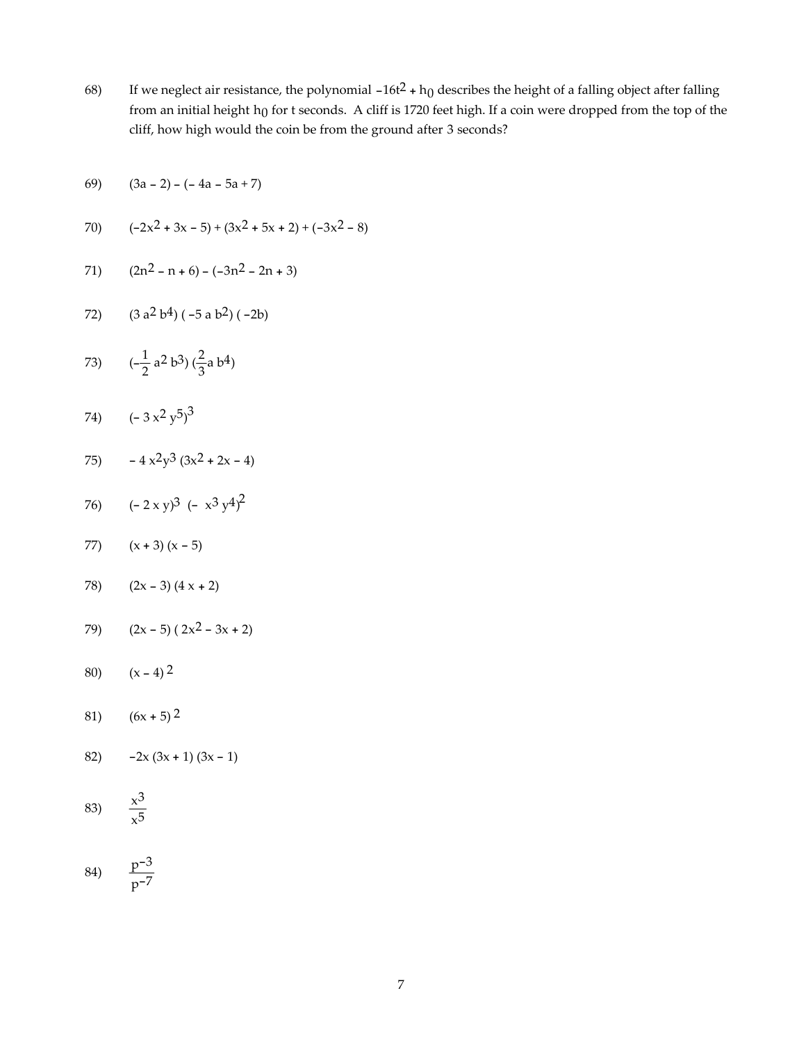68) If we neglect air resistance, the polynomial  $-16t^2 + h_0$  describes the height of a falling object after falling from an initial height h<sub>0</sub> for t seconds. A cliff is 1720 feet high. If a coin were dropped from the top of the cliff, how high would the coin be from the ground after 3 seconds?

$$
(3a - 2) - (-4a - 5a + 7)
$$

70) 
$$
(-2x^2 + 3x - 5) + (3x^2 + 5x + 2) + (-3x^2 - 8)
$$

71) 
$$
(2n^2 - n + 6) - (-3n^2 - 2n + 3)
$$

72) 
$$
(3 a2 b4) (-5 a b2) (-2b)
$$

73) 
$$
(-\frac{1}{2}a^2b^3)(\frac{2}{3}a b^4)
$$

74)  $(-3x^2y^5)^3$ 

$$
75) \qquad -4 \times 2 \times 3 \left(3 \times 2 + 2 \times -4\right)
$$

76) 
$$
(-2 \times y)^3 (-x^3 y^4)^2
$$

- 77)  $(x + 3) (x 5)$
- 78) (2x 3) (4 x + 2)
- 79) (2x 5) ( 2x2 3x + 2)
- 80)  $(x 4)^2$
- 81) (6x + 5) 2
- 82)  $-2x(3x + 1)(3x 1)$

$$
83) \frac{x^3}{x^5}
$$

$$
84) \qquad \frac{p^{-3}}{p^{-7}}
$$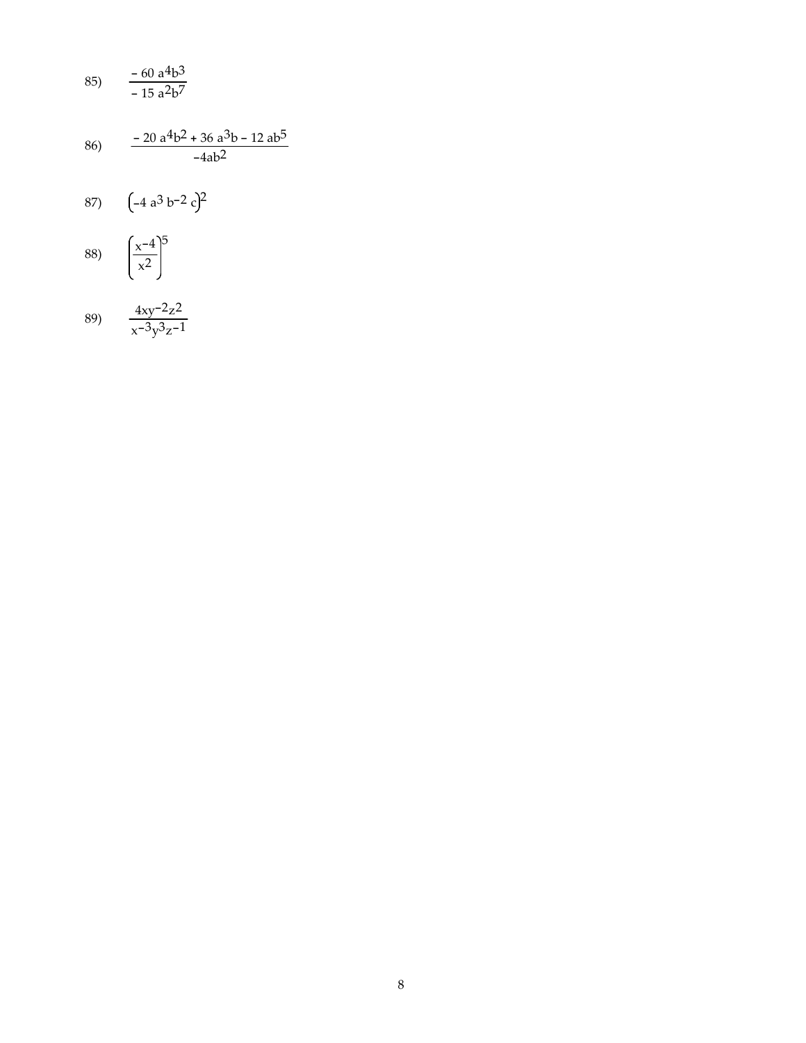85) 
$$
\frac{-60 \text{ a}^4 \text{b}^3}{-15 \text{ a}^2 \text{b}^7}
$$

$$
86 \qquad \frac{-20 \text{ a}^4 \text{ b}^2 + 36 \text{ a}^3 \text{ b} - 12 \text{ a} \text{ b}^5}{-4 \text{ a} \text{ b}^2}
$$

$$
87\qquad \left(-4\,a^3\,b^{-2}\,c\right)^2
$$

$$
88) \quad \left(\frac{x^{-4}}{x^2}\right)^5
$$

$$
89 \frac{4xy^{-2}z^{2}}{x^{-3}y^{3}z^{-1}}
$$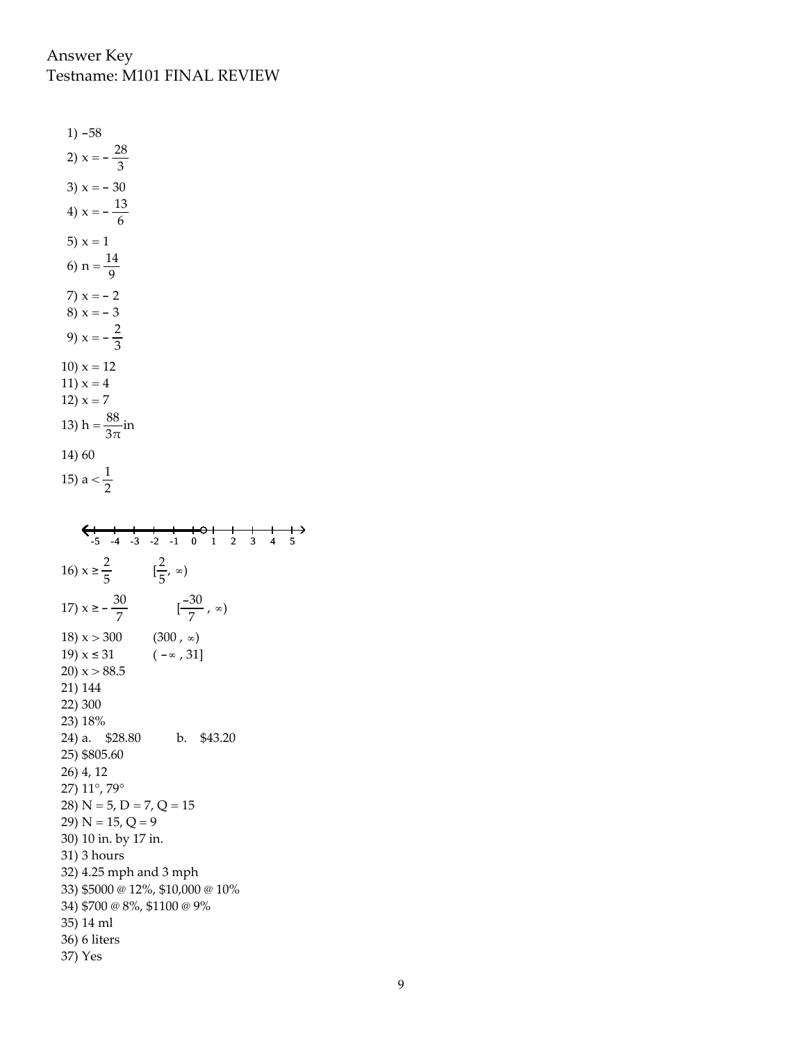$1) -58$ 2)  $x = -\frac{28}{3}$ 3)  $x = -30$ 4)  $x = -\frac{13}{6}$ 5)  $x = 1$ 6)  $n = \frac{14}{9}$ 7)  $x = -2$ 8)  $x = -3$ 9)  $x = -\frac{2}{3}$ 10)  $x = 12$ 11)  $x = 4$ 12)  $x = 7$ 13) h =  $\frac{88}{3\pi}$ in 14) 60 15) a  $<\frac{1}{2}$  $\xrightarrow{-5}$  -4 -3 -2 -1 0 1 2 3 4 5 16)  $x \ge \frac{2}{5}$   $[\frac{2}{5}, \infty)$ 17)  $x \ge -\frac{30}{7}$   $\left[-\frac{30}{7}, \infty\right)$ 18)  $x > 300$  $(300, \infty)$  $(-\infty, 31]$ 19)  $x \le 31$ 20)  $x > 88.5$ 21) 144 22) 300 23) 18% 24) a. \$28.80 b. \$43.20 25) \$805.60 26) 4, 12 27) 11°, 79° 28)  $N = 5$ ,  $D = 7$ ,  $Q = 15$ 29)  $N = 15, Q = 9$ 30) 10 in. by 17 in. 31) 3 hours 32) 4.25 mph and 3 mph 33) \$5000 @ 12%, \$10,000 @ 10% 34) \$700 @ 8%, \$1100 @ 9% 35) 14 ml 36) 6 liters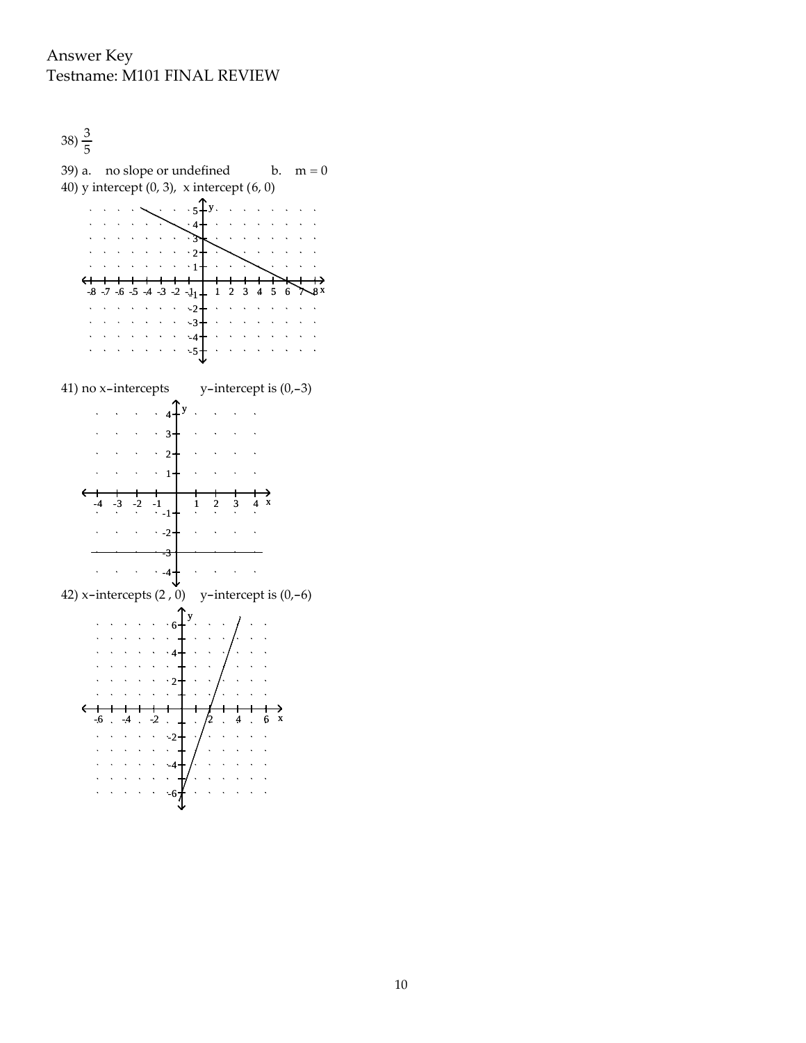

39) a. no slope or undefined b.  $m = 0$ 40) y intercept (0, 3), x intercept (6, 0)  $\cdots$   $\cdots$   $\cdots$   $\cdots$   $\uparrow$  $\mathbb{R}^2$  $\ddot{\phantom{a}}$  $\bar{\mathbf{r}}$  $\ddot{\phantom{a}}$ 4 ን  $\cdot$  2  $\ddotsc$  $\mathbf{v}$  $\leftarrow$  $-8$  -7 -6 -5 -4 -3 -2  $-1$ <sub>1</sub> - 1 2 3 4 5 6  $\rightarrow$  8x  $\frac{2}{2}$  -2  $\mathcal{L}_{\mathcal{A}}$  .  $\mathcal{L}^{\mathcal{A}}$  ,  $\mathcal{L}^{\mathcal{A}}$  ,  $\mathcal{L}^{\mathcal{A}}$  ,  $\mathcal{L}^{\mathcal{A}}$  $\sim$ -3 -4  $-5+$  $\ddot{\phantom{a}}$  $\lambda$  $\mathbf{A}$  $\hat{\mathbf{v}}$ 41) no x-intercepts y-intercept is (0,-3)  $\therefore$   $\therefore$   $4^{\text{T}}$ y.  $\mathbb{R}^2$ i.  $\ddot{\phantom{a}}$  $\cdot$  3- $\cdot$  2+  $\bar{\mathcal{A}}$  $\bar{\mathcal{A}}$  $\sim$  $\mathcal{L}$  $\sim$  $\mathcal{A}$  $\sim$  $\ddot{ }$  1  $\hat{\mathcal{A}}$  $\sim$   $\sim$  $\bar{\mathcal{A}}$  $-4$   $-3$   $-2$   $-1$  1 2 3 4 x  $\cdot$  -2  $\ddot{\phantom{1}}$ -3  $\cdot$  -4  $\hat{\mathbf{v}}$  $\mathcal{L}$  $\bar{\mathcal{A}}$  $\bar{\mathcal{A}}$  $\hat{\mathbf{x}}$ 42) x-intercepts  $(2, 0)$  y-intercept is  $(0,-6)$ y  $\ddot{\phantom{a}}$ 6 4  $\mathcal{L}$  $\cdot$  2  $\mathbf{v}$  $-6$   $-4$   $-2$   $-1$   $/2$   $4$   $6$  $\mathbf{v} = \mathbf{v} - \mathbf{v}$  ,  $\mathbf{v} = \mathbf{v}$  $-2$  $\mathcal{L}^{\text{max}}$  $\sim$  $\mathcal{L}^{\mathcal{A}}$  ,  $\mathcal{L}^{\mathcal{A}}$  ,  $\mathcal{L}^{\mathcal{A}}$  ,  $\mathcal{L}^{\mathcal{A}}$  ,  $\sim$   $\sim$  $\Delta$  $\sim$  $\Delta$  $\sqrt{1-\sqrt{1-\lambda}}$  .  $\sqrt{1-\lambda}$  $\Delta$ -4  $\ddot{\phantom{1}}$  $\Delta$  $\mathbf{v} = \mathbf{v} + \mathbf{v} + \mathbf{v}$  $\sim$  $\mathbf{A}$  $\ddot{\phantom{a}}$  $\sim$  $\Delta \sim 10^{-11}$  $\ddot{\phantom{a}}$ -6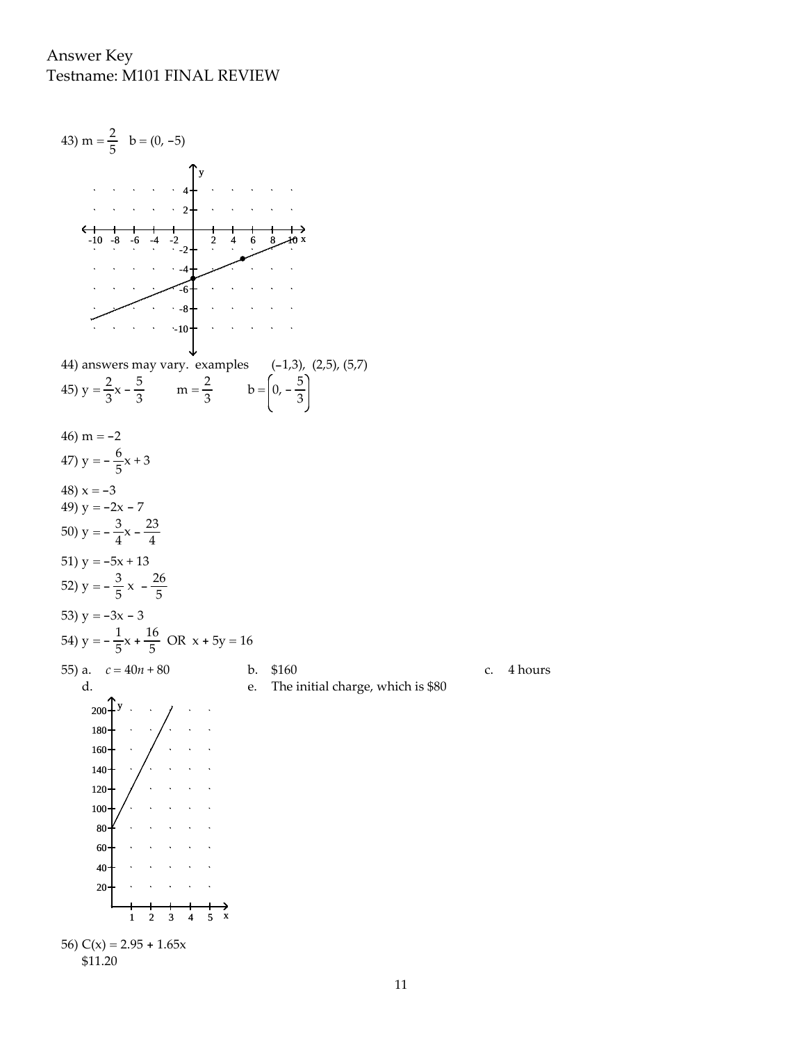

\$11.20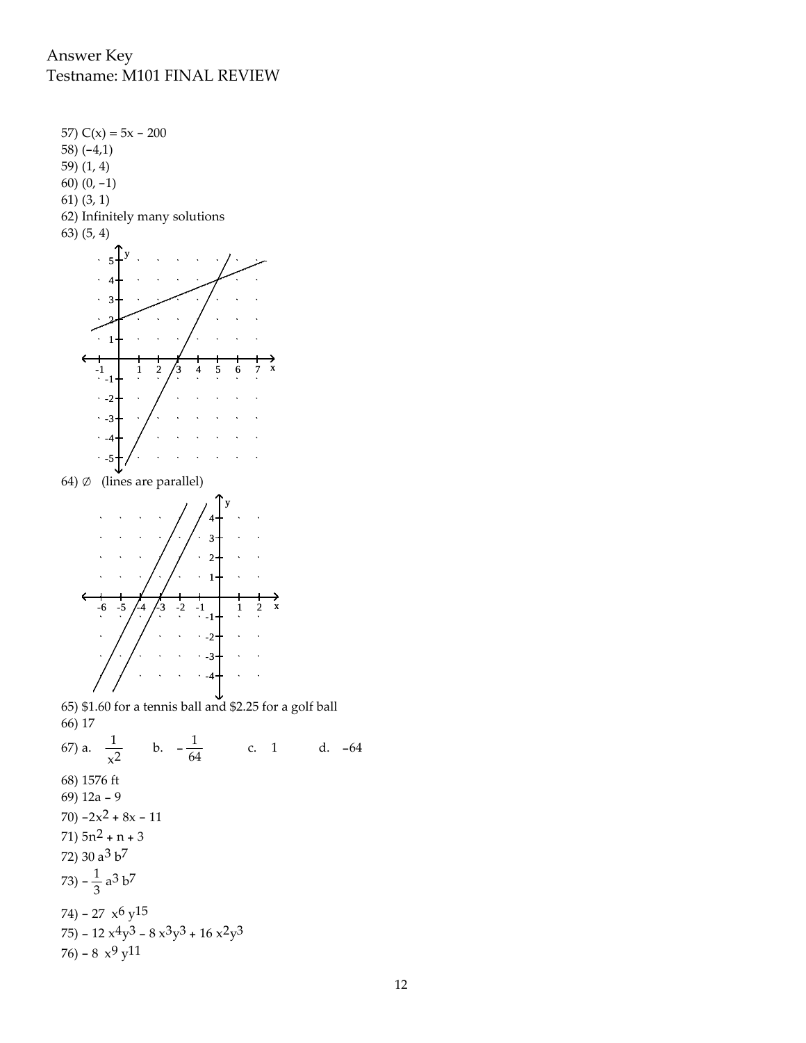

64)  $\emptyset$  (lines are parallel)



65) \$1.60 for a tennis ball and \$2.25 for a golf ball 66) 17

67) a.  $\frac{1}{x^2}$  $\frac{1}{x^2}$  b.  $-\frac{1}{64}$  c. 1 d. -64 68) 1576 ft 69) 12a - 9 70)  $-2x^2 + 8x - 11$ 71)  $5n^2 + n + 3$ 72) 30 a3 b7 73) –  $\frac{1}{3}$  a<sup>3</sup> b<sup>7</sup> 74) - 27 $\,x^6\,{\rm y}^{15}$ 75) - 12  $x^4y^3$  - 8  $x^3y^3$  + 16  $x^2y^3$ 76) - 8  $x^9y^{11}$